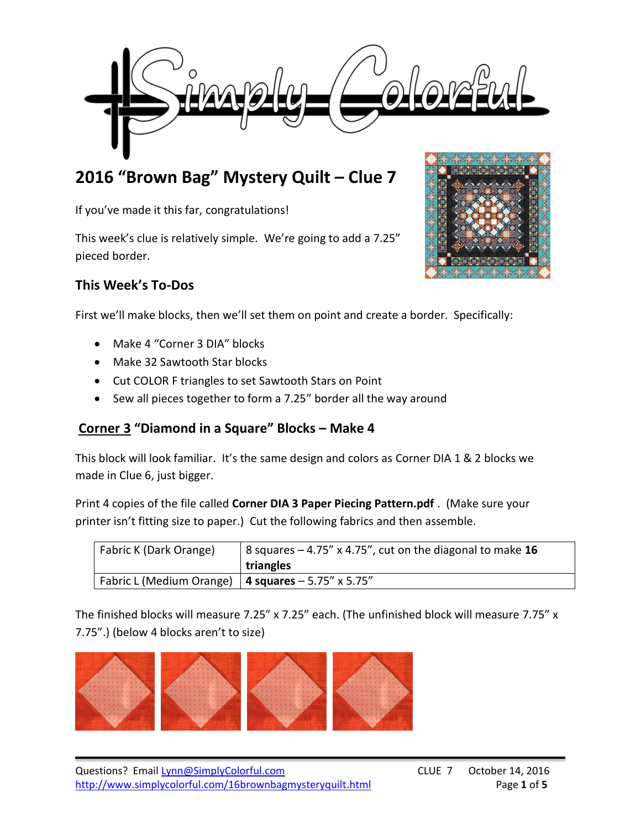

# **2016 "Brown Bag" Mystery Quilt – Clue 7**

If you've made it this far, congratulations!

This week's clue is relatively simple. We're going to add a 7.25" pieced border.

# **This Week's To-Dos**



- Make 4 "Corner 3 DIA" blocks
- Make 32 Sawtooth Star blocks
- Cut COLOR F triangles to set Sawtooth Stars on Point
- Sew all pieces together to form a 7.25" border all the way around

# **Corner 3 "Diamond in a Square" Blocks – Make 4**

This block will look familiar. It's the same design and colors as Corner DIA 1 & 2 blocks we made in Clue 6, just bigger.

Print 4 copies of the file called **Corner DIA 3 Paper Piecing Pattern.pdf** . (Make sure your printer isn't fitting size to paper.) Cut the following fabrics and then assemble.

| Fabric K (Dark Orange)                                 | 8 squares – 4.75" x 4.75", cut on the diagonal to make $16$<br>triangles |
|--------------------------------------------------------|--------------------------------------------------------------------------|
| Fabric L (Medium Orange)   4 squares $-5.75''$ x 5.75" |                                                                          |

The finished blocks will measure 7.25" x 7.25" each. (The unfinished block will measure 7.75" x 7.75".) (below 4 blocks aren't to size)



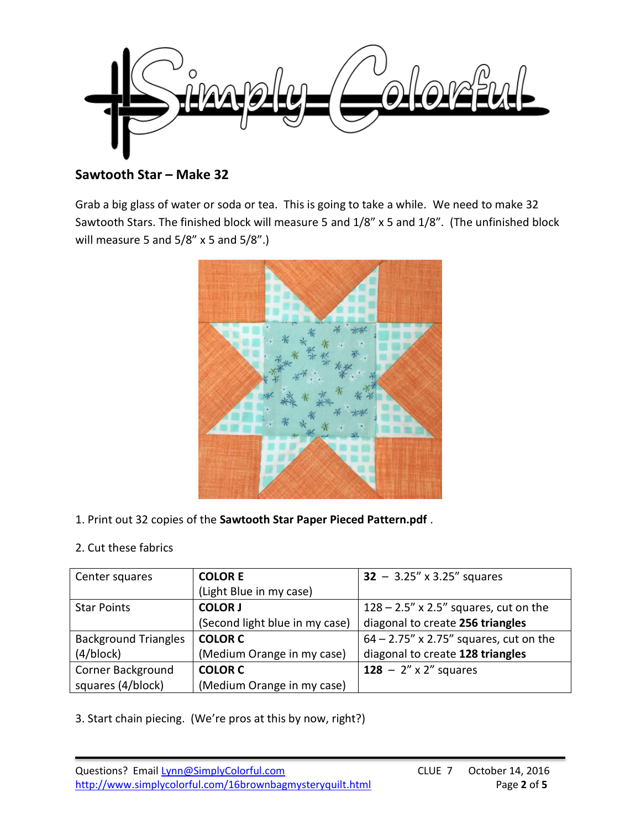

**Sawtooth Star – Make 32**

Grab a big glass of water or soda or tea. This is going to take a while. We need to make 32 Sawtooth Stars. The finished block will measure 5 and 1/8" x 5 and 1/8". (The unfinished block will measure 5 and 5/8" x 5 and 5/8".)



1. Print out 32 copies of the **Sawtooth Star Paper Pieced Pattern.pdf** .

# 2. Cut these fabrics

| Center squares              | <b>COLOR E</b>                 | $32 - 3.25'' \times 3.25''$ squares       |
|-----------------------------|--------------------------------|-------------------------------------------|
|                             | (Light Blue in my case)        |                                           |
| <b>Star Points</b>          | <b>COLOR J</b>                 | $128 - 2.5''$ x 2.5" squares, cut on the  |
|                             | (Second light blue in my case) | diagonal to create 256 triangles          |
| <b>Background Triangles</b> | <b>COLOR C</b>                 | $64 - 2.75''$ x 2.75" squares, cut on the |
| (4/block)                   | (Medium Orange in my case)     | diagonal to create 128 triangles          |
| <b>Corner Background</b>    | <b>COLOR C</b>                 | 128 - $2''$ x 2" squares                  |
| squares (4/block)           | (Medium Orange in my case)     |                                           |

3. Start chain piecing. (We're pros at this by now, right?)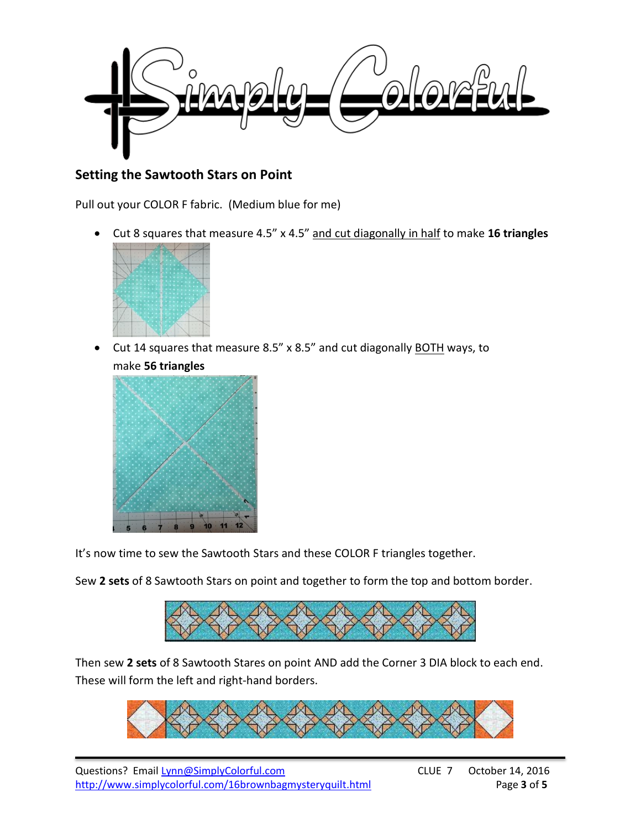

# **Setting the Sawtooth Stars on Point**

Pull out your COLOR F fabric. (Medium blue for me)

Cut 8 squares that measure 4.5" x 4.5" and cut diagonally in half to make **16 triangles**



• Cut 14 squares that measure 8.5" x 8.5" and cut diagonally BOTH ways, to make **56 triangles**



It's now time to sew the Sawtooth Stars and these COLOR F triangles together.

Sew **2 sets** of 8 Sawtooth Stars on point and together to form the top and bottom border.



Then sew **2 sets** of 8 Sawtooth Stares on point AND add the Corner 3 DIA block to each end. These will form the left and right-hand borders.



Questions? Email [Lynn@SimplyColorful.com](mailto:Lynn@SimplyColorful.com) CLUE 7 October 14, 2016 http://www.simplycolorful.com/16brownbagmysteryquilt.html Page 3 of 5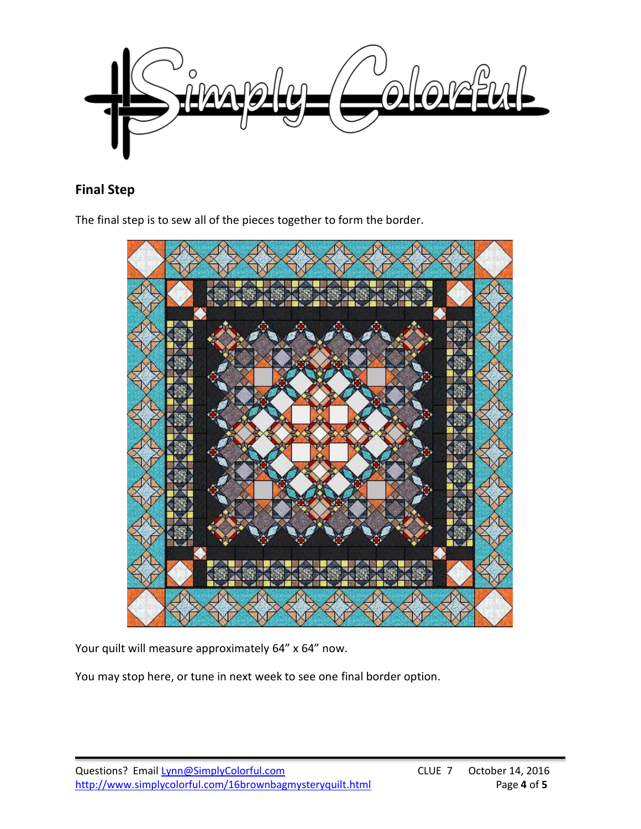

# **Final Step**

The final step is to sew all of the pieces together to form the border.



Your quilt will measure approximately 64" x 64" now.

You may stop here, or tune in next week to see one final border option.